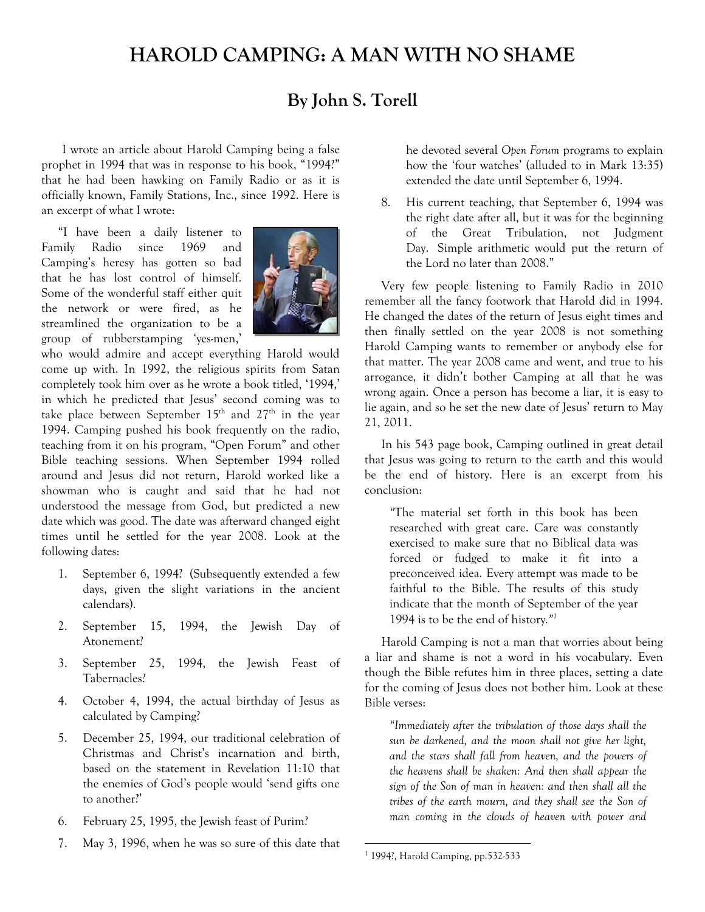# **HAROLD CAMPING: A MAN WITH NO SHAME**

# **By John S. Torell**

I wrote an article about Harold Camping being a false prophet in 1994 that was in response to his book, "1994?" that he had been hawking on Family Radio or as it is officially known, Family Stations, Inc., since 1992. Here is an excerpt of what I wrote:

"I have been a daily listener to Family Radio since 1969 and Camping's heresy has gotten so bad that he has lost control of himself. Some of the wonderful staff either quit the network or were fired, as he streamlined the organization to be a group of rubberstamping 'yes-men,'



who would admire and accept everything Harold would come up with. In 1992, the religious spirits from Satan completely took him over as he wrote a book titled, '1994,' in which he predicted that Jesus' second coming was to take place between September  $15<sup>th</sup>$  and  $27<sup>th</sup>$  in the year 1994. Camping pushed his book frequently on the radio, teaching from it on his program, "Open Forum" and other Bible teaching sessions. When September 1994 rolled around and Jesus did not return, Harold worked like a showman who is caught and said that he had not understood the message from God, but predicted a new date which was good. The date was afterward changed eight times until he settled for the year 2008. Look at the following dates:

- 1. September 6, 1994? (Subsequently extended a few days, given the slight variations in the ancient calendars).
- 2. September 15, 1994, the Jewish Day of Atonement?
- 3. September 25, 1994, the Jewish Feast of Tabernacles?
- 4. October 4, 1994, the actual birthday of Jesus as calculated by Camping?
- 5. December 25, 1994, our traditional celebration of Christmas and Christ's incarnation and birth, based on the statement in Revelation 11:10 that the enemies of God's people would 'send gifts one to another?'
- 6. February 25, 1995, the Jewish feast of Purim?
- 7. May 3, 1996, when he was so sure of this date that

he devoted several *Open Forum* programs to explain how the 'four watches' (alluded to in Mark 13:35) extended the date until September 6, 1994.

8. His current teaching, that September 6, 1994 was the right date after all, but it was for the beginning of the Great Tribulation, not Judgment Day. Simple arithmetic would put the return of the Lord no later than 2008."

Very few people listening to Family Radio in 2010 remember all the fancy footwork that Harold did in 1994. He changed the dates of the return of Jesus eight times and then finally settled on the year 2008 is not something Harold Camping wants to remember or anybody else for that matter. The year 2008 came and went, and true to his arrogance, it didn't bother Camping at all that he was wrong again. Once a person has become a liar, it is easy to lie again, and so he set the new date of Jesus' return to May 21, 2011.

In his 543 page book, Camping outlined in great detail that Jesus was going to return to the earth and this would be the end of history. Here is an excerpt from his conclusion:

*"*The material set forth in this book has been researched with great care. Care was constantly exercised to make sure that no Biblical data was forced or fudged to make it fit into a preconceived idea. Every attempt was made to be faithful to the Bible. The results of this study indicate that the month of September of the year 1994 is to be the end of history*."1*

Harold Camping is not a man that worries about being a liar and shame is not a word in his vocabulary. Even though the Bible refutes him in three places, setting a date for the coming of Jesus does not bother him. Look at these Bible verses:

*"Immediately after the tribulation of those days shall the sun be darkened, and the moon shall not give her light, and the stars shall fall from heaven, and the powers of the heavens shall be shaken: And then shall appear the sign of the Son of man in heaven: and then shall all the tribes of the earth mourn, and they shall see the Son of man coming in the clouds of heaven with power and* 

l

<sup>1</sup> 1994?, Harold Camping, pp.532-533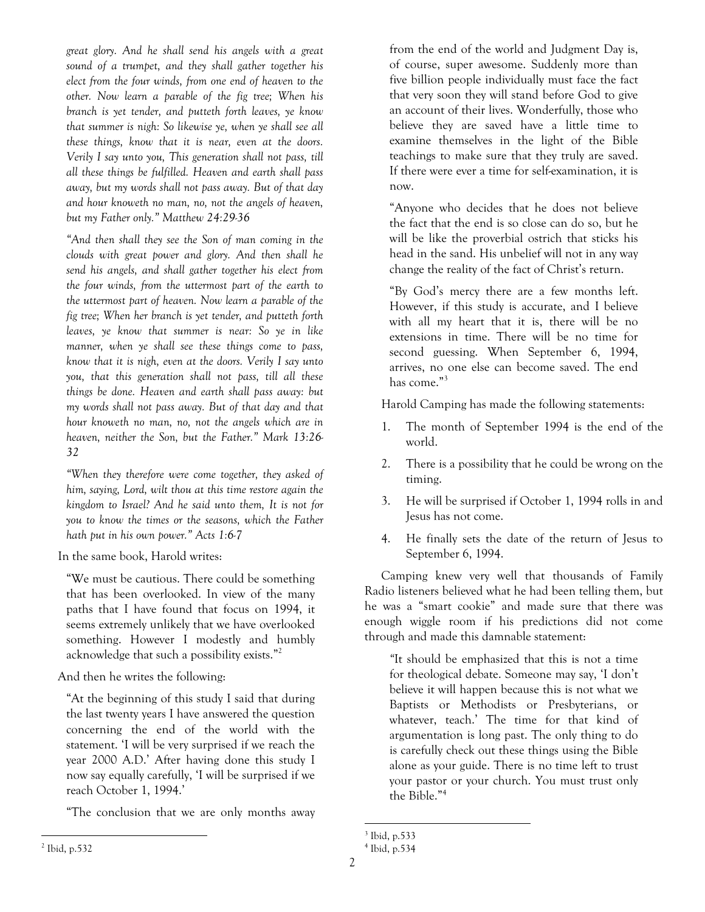*great glory. And he shall send his angels with a great sound of a trumpet, and they shall gather together his elect from the four winds, from one end of heaven to the other. Now learn a parable of the fig tree; When his branch is yet tender, and putteth forth leaves, ye know that summer is nigh: So likewise ye, when ye shall see all these things, know that it is near, even at the doors. Verily I say unto you, This generation shall not pass, till all these things be fulfilled. Heaven and earth shall pass away, but my words shall not pass away. But of that day and hour knoweth no man, no, not the angels of heaven, but my Father only." Matthew 24:29-36* 

*"And then shall they see the Son of man coming in the clouds with great power and glory. And then shall he send his angels, and shall gather together his elect from the four winds, from the uttermost part of the earth to the uttermost part of heaven. Now learn a parable of the fig tree; When her branch is yet tender, and putteth forth leaves, ye know that summer is near: So ye in like manner, when ye shall see these things come to pass, know that it is nigh, even at the doors. Verily I say unto you, that this generation shall not pass, till all these things be done. Heaven and earth shall pass away: but my words shall not pass away. But of that day and that hour knoweth no man, no, not the angels which are in heaven, neither the Son, but the Father." Mark 13:26- 32* 

*"When they therefore were come together, they asked of him, saying, Lord, wilt thou at this time restore again the kingdom to Israel? And he said unto them, It is not for you to know the times or the seasons, which the Father hath put in his own power." Acts 1:6-7* 

In the same book, Harold writes:

"We must be cautious. There could be something that has been overlooked. In view of the many paths that I have found that focus on 1994, it seems extremely unlikely that we have overlooked something. However I modestly and humbly acknowledge that such a possibility exists."2

And then he writes the following:

"At the beginning of this study I said that during the last twenty years I have answered the question concerning the end of the world with the statement. 'I will be very surprised if we reach the year 2000 A.D.' After having done this study I now say equally carefully, 'I will be surprised if we reach October 1, 1994.'

"The conclusion that we are only months away

from the end of the world and Judgment Day is, of course, super awesome. Suddenly more than five billion people individually must face the fact that very soon they will stand before God to give an account of their lives. Wonderfully, those who believe they are saved have a little time to examine themselves in the light of the Bible teachings to make sure that they truly are saved. If there were ever a time for self-examination, it is now.

"Anyone who decides that he does not believe the fact that the end is so close can do so, but he will be like the proverbial ostrich that sticks his head in the sand. His unbelief will not in any way change the reality of the fact of Christ's return.

"By God's mercy there are a few months left. However, if this study is accurate, and I believe with all my heart that it is, there will be no extensions in time. There will be no time for second guessing. When September 6, 1994, arrives, no one else can become saved. The end has come."3

Harold Camping has made the following statements:

- 1. The month of September 1994 is the end of the world.
- 2. There is a possibility that he could be wrong on the timing.
- 3. He will be surprised if October 1, 1994 rolls in and Jesus has not come.
- 4. He finally sets the date of the return of Jesus to September 6, 1994.

Camping knew very well that thousands of Family Radio listeners believed what he had been telling them, but he was a "smart cookie" and made sure that there was enough wiggle room if his predictions did not come through and made this damnable statement:

*"*It should be emphasized that this is not a time for theological debate. Someone may say, 'I don't believe it will happen because this is not what we Baptists or Methodists or Presbyterians, or whatever, teach.' The time for that kind of argumentation is long past. The only thing to do is carefully check out these things using the Bible alone as your guide. There is no time left to trust your pastor or your church. You must trust only the Bible."4

l 3 Ibid, p.533

<sup>4</sup> Ibid, p.534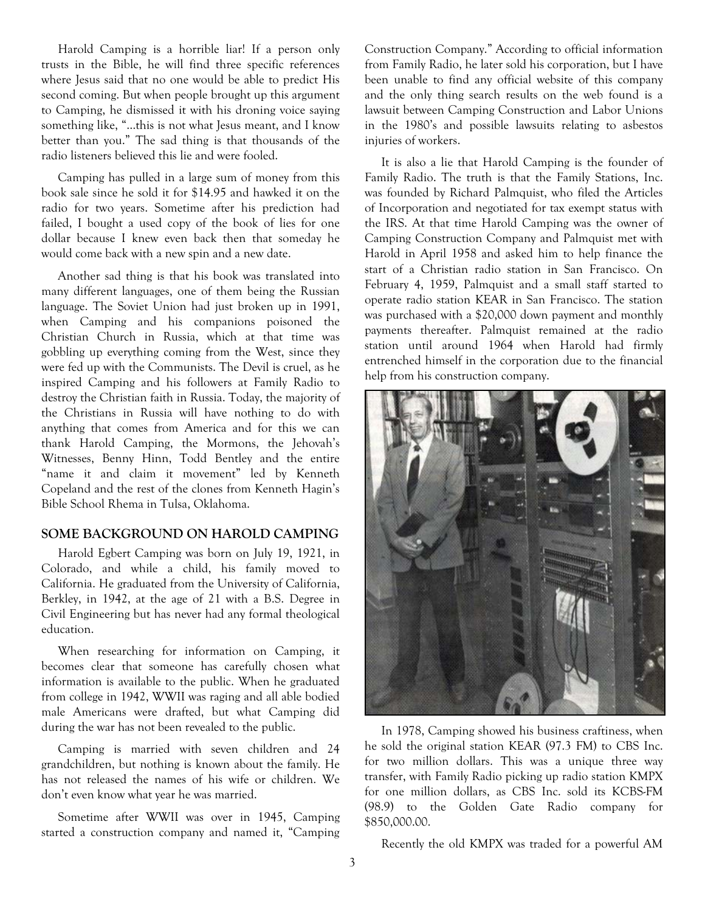Harold Camping is a horrible liar! If a person only trusts in the Bible, he will find three specific references where Jesus said that no one would be able to predict His second coming. But when people brought up this argument to Camping, he dismissed it with his droning voice saying something like, "…this is not what Jesus meant, and I know better than you." The sad thing is that thousands of the radio listeners believed this lie and were fooled.

Camping has pulled in a large sum of money from this book sale since he sold it for \$14.95 and hawked it on the radio for two years. Sometime after his prediction had failed, I bought a used copy of the book of lies for one dollar because I knew even back then that someday he would come back with a new spin and a new date.

Another sad thing is that his book was translated into many different languages, one of them being the Russian language. The Soviet Union had just broken up in 1991, when Camping and his companions poisoned the Christian Church in Russia, which at that time was gobbling up everything coming from the West, since they were fed up with the Communists. The Devil is cruel, as he inspired Camping and his followers at Family Radio to destroy the Christian faith in Russia. Today, the majority of the Christians in Russia will have nothing to do with anything that comes from America and for this we can thank Harold Camping, the Mormons, the Jehovah's Witnesses, Benny Hinn, Todd Bentley and the entire "name it and claim it movement" led by Kenneth Copeland and the rest of the clones from Kenneth Hagin's Bible School Rhema in Tulsa, Oklahoma.

#### **SOME BACKGROUND ON HAROLD CAMPING**

Harold Egbert Camping was born on July 19, 1921, in Colorado, and while a child, his family moved to California. He graduated from the University of California, Berkley, in 1942, at the age of 21 with a B.S. Degree in Civil Engineering but has never had any formal theological education.

When researching for information on Camping, it becomes clear that someone has carefully chosen what information is available to the public. When he graduated from college in 1942, WWII was raging and all able bodied male Americans were drafted, but what Camping did during the war has not been revealed to the public.

Camping is married with seven children and 24 grandchildren, but nothing is known about the family. He has not released the names of his wife or children. We don't even know what year he was married.

Sometime after WWII was over in 1945, Camping started a construction company and named it, "Camping Construction Company." According to official information from Family Radio, he later sold his corporation, but I have been unable to find any official website of this company and the only thing search results on the web found is a lawsuit between Camping Construction and Labor Unions in the 1980's and possible lawsuits relating to asbestos injuries of workers.

It is also a lie that Harold Camping is the founder of Family Radio. The truth is that the Family Stations, Inc. was founded by Richard Palmquist, who filed the Articles of Incorporation and negotiated for tax exempt status with the IRS. At that time Harold Camping was the owner of Camping Construction Company and Palmquist met with Harold in April 1958 and asked him to help finance the start of a Christian radio station in San Francisco. On February 4, 1959, Palmquist and a small staff started to operate radio station KEAR in San Francisco. The station was purchased with a \$20,000 down payment and monthly payments thereafter. Palmquist remained at the radio station until around 1964 when Harold had firmly entrenched himself in the corporation due to the financial help from his construction company.



In 1978, Camping showed his business craftiness, when he sold the original station KEAR (97.3 FM) to CBS Inc. for two million dollars. This was a unique three way transfer, with Family Radio picking up radio station KMPX for one million dollars, as CBS Inc. sold its KCBS-FM (98.9) to the Golden Gate Radio company for \$850,000.00.

Recently the old KMPX was traded for a powerful AM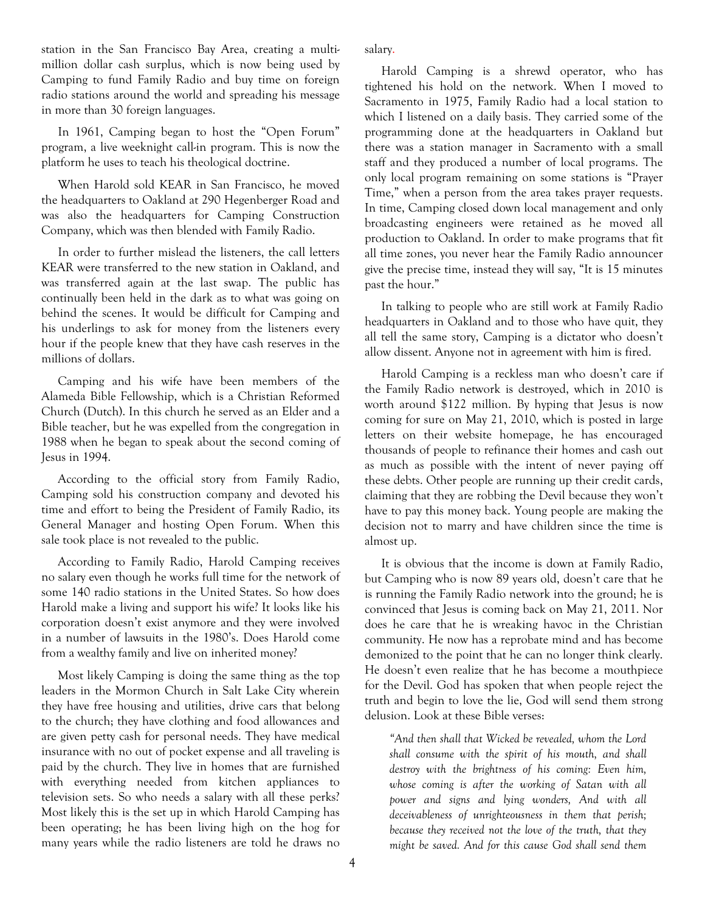station in the San Francisco Bay Area, creating a multimillion dollar cash surplus, which is now being used by Camping to fund Family Radio and buy time on foreign radio stations around the world and spreading his message in more than 30 foreign languages.

In 1961, Camping began to host the "Open Forum" program, a live weeknight call-in program. This is now the platform he uses to teach his theological doctrine.

When Harold sold KEAR in San Francisco, he moved the headquarters to Oakland at 290 Hegenberger Road and was also the headquarters for Camping Construction Company, which was then blended with Family Radio.

In order to further mislead the listeners, the call letters KEAR were transferred to the new station in Oakland, and was transferred again at the last swap. The public has continually been held in the dark as to what was going on behind the scenes. It would be difficult for Camping and his underlings to ask for money from the listeners every hour if the people knew that they have cash reserves in the millions of dollars.

Camping and his wife have been members of the Alameda Bible Fellowship, which is a Christian Reformed Church (Dutch). In this church he served as an Elder and a Bible teacher, but he was expelled from the congregation in 1988 when he began to speak about the second coming of Jesus in 1994.

According to the official story from Family Radio, Camping sold his construction company and devoted his time and effort to being the President of Family Radio, its General Manager and hosting Open Forum. When this sale took place is not revealed to the public.

According to Family Radio, Harold Camping receives no salary even though he works full time for the network of some 140 radio stations in the United States. So how does Harold make a living and support his wife? It looks like his corporation doesn't exist anymore and they were involved in a number of lawsuits in the 1980's. Does Harold come from a wealthy family and live on inherited money?

Most likely Camping is doing the same thing as the top leaders in the Mormon Church in Salt Lake City wherein they have free housing and utilities, drive cars that belong to the church; they have clothing and food allowances and are given petty cash for personal needs. They have medical insurance with no out of pocket expense and all traveling is paid by the church. They live in homes that are furnished with everything needed from kitchen appliances to television sets. So who needs a salary with all these perks? Most likely this is the set up in which Harold Camping has been operating; he has been living high on the hog for many years while the radio listeners are told he draws no salary.

Harold Camping is a shrewd operator, who has tightened his hold on the network. When I moved to Sacramento in 1975, Family Radio had a local station to which I listened on a daily basis. They carried some of the programming done at the headquarters in Oakland but there was a station manager in Sacramento with a small staff and they produced a number of local programs. The only local program remaining on some stations is "Prayer Time," when a person from the area takes prayer requests. In time, Camping closed down local management and only broadcasting engineers were retained as he moved all production to Oakland. In order to make programs that fit all time zones, you never hear the Family Radio announcer give the precise time, instead they will say, "It is 15 minutes past the hour."

In talking to people who are still work at Family Radio headquarters in Oakland and to those who have quit, they all tell the same story, Camping is a dictator who doesn't allow dissent. Anyone not in agreement with him is fired.

Harold Camping is a reckless man who doesn't care if the Family Radio network is destroyed, which in 2010 is worth around \$122 million. By hyping that Jesus is now coming for sure on May 21, 2010, which is posted in large letters on their website homepage, he has encouraged thousands of people to refinance their homes and cash out as much as possible with the intent of never paying off these debts. Other people are running up their credit cards, claiming that they are robbing the Devil because they won't have to pay this money back. Young people are making the decision not to marry and have children since the time is almost up.

It is obvious that the income is down at Family Radio, but Camping who is now 89 years old, doesn't care that he is running the Family Radio network into the ground; he is convinced that Jesus is coming back on May 21, 2011. Nor does he care that he is wreaking havoc in the Christian community. He now has a reprobate mind and has become demonized to the point that he can no longer think clearly. He doesn't even realize that he has become a mouthpiece for the Devil. God has spoken that when people reject the truth and begin to love the lie, God will send them strong delusion. Look at these Bible verses:

*"And then shall that Wicked be revealed, whom the Lord shall consume with the spirit of his mouth, and shall destroy with the brightness of his coming: Even him, whose coming is after the working of Satan with all power and signs and lying wonders, And with all deceivableness of unrighteousness in them that perish; because they received not the love of the truth, that they might be saved. And for this cause God shall send them*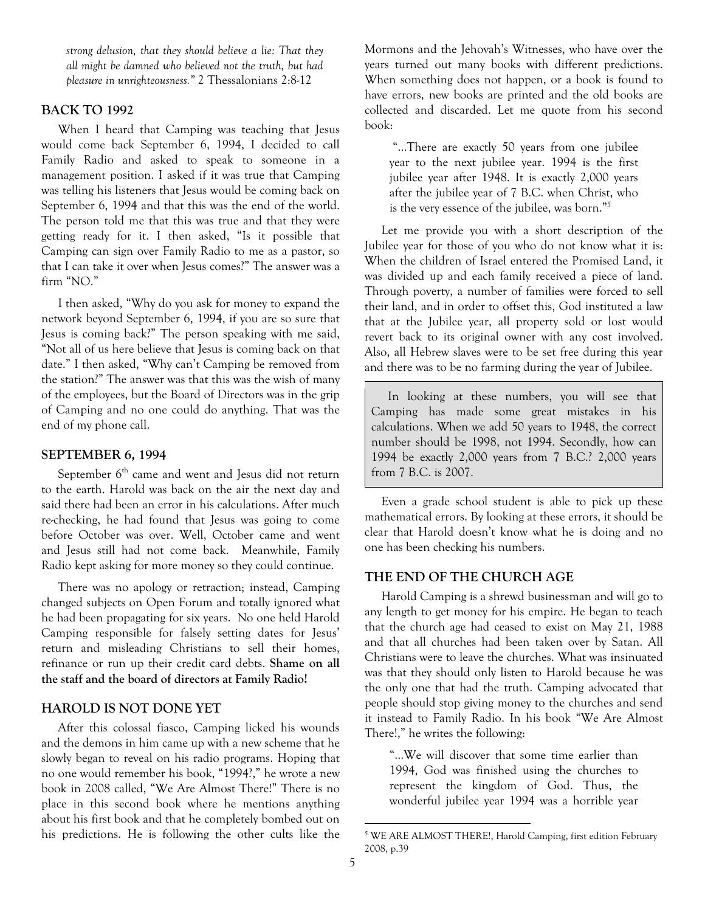*strong delusion, that they should believe a lie: That they all might be damned who believed not the truth, but had pleasure in unrighteousness."* 2 Thessalonians 2:8-12

#### **BACK TO 1992**

When I heard that Camping was teaching that Jesus would come back September 6, 1994, I decided to call Family Radio and asked to speak to someone in a management position. I asked if it was true that Camping was telling his listeners that Jesus would be coming back on September 6, 1994 and that this was the end of the world. The person told me that this was true and that they were getting ready for it. I then asked, "Is it possible that Camping can sign over Family Radio to me as a pastor, so that I can take it over when Jesus comes?" The answer was a firm "NO."

I then asked, "Why do you ask for money to expand the network beyond September 6, 1994, if you are so sure that Jesus is coming back?" The person speaking with me said, "Not all of us here believe that Jesus is coming back on that date." I then asked, "Why can't Camping be removed from the station?" The answer was that this was the wish of many of the employees, but the Board of Directors was in the grip of Camping and no one could do anything. That was the end of my phone call.

#### **SEPTEMBER 6, 1994**

September  $6<sup>th</sup>$  came and went and Jesus did not return to the earth. Harold was back on the air the next day and said there had been an error in his calculations. After much re-checking, he had found that Jesus was going to come before October was over. Well, October came and went and Jesus still had not come back. Meanwhile, Family Radio kept asking for more money so they could continue.

There was no apology or retraction; instead, Camping changed subjects on Open Forum and totally ignored what he had been propagating for six years. No one held Harold Camping responsible for falsely setting dates for Jesus' return and misleading Christians to sell their homes, refinance or run up their credit card debts. **Shame on all the staff and the board of directors at Family Radio!**

#### **HAROLD IS NOT DONE YET**

After this colossal fiasco, Camping licked his wounds and the demons in him came up with a new scheme that he slowly began to reveal on his radio programs. Hoping that no one would remember his book, "1994?," he wrote a new book in 2008 called, "We Are Almost There!" There is no place in this second book where he mentions anything about his first book and that he completely bombed out on his predictions. He is following the other cults like the Mormons and the Jehovah's Witnesses, who have over the years turned out many books with different predictions. When something does not happen, or a book is found to have errors, new books are printed and the old books are collected and discarded. Let me quote from his second book:

 "…There are exactly 50 years from one jubilee year to the next jubilee year. 1994 is the first jubilee year after 1948. It is exactly 2,000 years after the jubilee year of 7 B.C. when Christ, who is the very essence of the jubilee, was born."5

Let me provide you with a short description of the Jubilee year for those of you who do not know what it is: When the children of Israel entered the Promised Land, it was divided up and each family received a piece of land. Through poverty, a number of families were forced to sell their land, and in order to offset this, God instituted a law that at the Jubilee year, all property sold or lost would revert back to its original owner with any cost involved. Also, all Hebrew slaves were to be set free during this year and there was to be no farming during the year of Jubilee.

In looking at these numbers, you will see that Camping has made some great mistakes in his calculations. When we add 50 years to 1948, the correct number should be 1998, not 1994. Secondly, how can 1994 be exactly 2,000 years from 7 B.C.? 2,000 years from 7 B.C. is 2007.

Even a grade school student is able to pick up these mathematical errors. By looking at these errors, it should be clear that Harold doesn't know what he is doing and no one has been checking his numbers.

#### **THE END OF THE CHURCH AGE**

Harold Camping is a shrewd businessman and will go to any length to get money for his empire. He began to teach that the church age had ceased to exist on May 21, 1988 and that all churches had been taken over by Satan. All Christians were to leave the churches. What was insinuated was that they should only listen to Harold because he was the only one that had the truth. Camping advocated that people should stop giving money to the churches and send it instead to Family Radio. In his book "We Are Almost There!," he writes the following:

"…We will discover that some time earlier than 1994, God was finished using the churches to represent the kingdom of God. Thus, the wonderful jubilee year 1994 was a horrible year

l

<sup>5</sup> WE ARE ALMOST THERE!, Harold Camping, first edition February 2008, p.39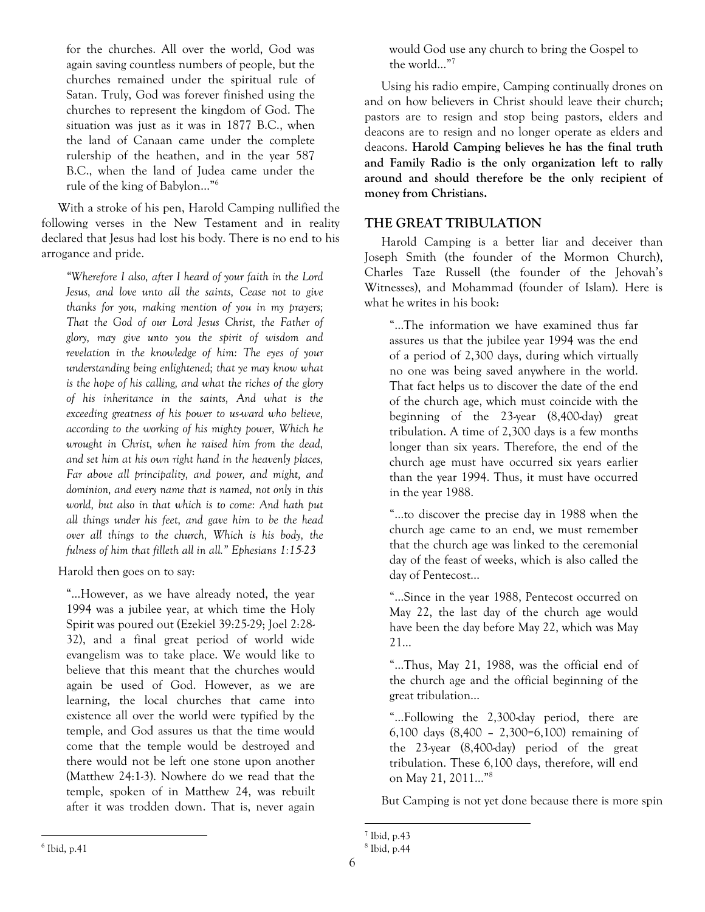for the churches. All over the world, God was again saving countless numbers of people, but the churches remained under the spiritual rule of Satan. Truly, God was forever finished using the churches to represent the kingdom of God. The situation was just as it was in 1877 B.C., when the land of Canaan came under the complete rulership of the heathen, and in the year 587 B.C., when the land of Judea came under the rule of the king of Babylon…"6

With a stroke of his pen, Harold Camping nullified the following verses in the New Testament and in reality declared that Jesus had lost his body. There is no end to his arrogance and pride.

*"Wherefore I also, after I heard of your faith in the Lord Jesus, and love unto all the saints, Cease not to give thanks for you, making mention of you in my prayers; That the God of our Lord Jesus Christ, the Father of glory, may give unto you the spirit of wisdom and revelation in the knowledge of him: The eyes of your understanding being enlightened; that ye may know what is the hope of his calling, and what the riches of the glory of his inheritance in the saints, And what is the exceeding greatness of his power to us-ward who believe, according to the working of his mighty power, Which he wrought in Christ, when he raised him from the dead, and set him at his own right hand in the heavenly places, Far above all principality, and power, and might, and dominion, and every name that is named, not only in this world, but also in that which is to come: And hath put all things under his feet, and gave him to be the head over all things to the church, Which is his body, the fulness of him that filleth all in all." Ephesians 1:15-23* 

Harold then goes on to say:

"…However, as we have already noted, the year 1994 was a jubilee year, at which time the Holy Spirit was poured out (Ezekiel 39:25-29; Joel 2:28- 32), and a final great period of world wide evangelism was to take place. We would like to believe that this meant that the churches would again be used of God. However, as we are learning, the local churches that came into existence all over the world were typified by the temple, and God assures us that the time would come that the temple would be destroyed and there would not be left one stone upon another (Matthew 24:1-3). Nowhere do we read that the temple, spoken of in Matthew 24, was rebuilt after it was trodden down. That is, never again

would God use any church to bring the Gospel to the world…"7

Using his radio empire, Camping continually drones on and on how believers in Christ should leave their church; pastors are to resign and stop being pastors, elders and deacons are to resign and no longer operate as elders and deacons. **Harold Camping believes he has the final truth and Family Radio is the only organization left to rally around and should therefore be the only recipient of money from Christians.**

# **THE GREAT TRIBULATION**

Harold Camping is a better liar and deceiver than Joseph Smith (the founder of the Mormon Church), Charles Taze Russell (the founder of the Jehovah's Witnesses), and Mohammad (founder of Islam). Here is what he writes in his book:

"…The information we have examined thus far assures us that the jubilee year 1994 was the end of a period of 2,300 days, during which virtually no one was being saved anywhere in the world. That fact helps us to discover the date of the end of the church age, which must coincide with the beginning of the 23-year (8,400-day) great tribulation. A time of 2,300 days is a few months longer than six years. Therefore, the end of the church age must have occurred six years earlier than the year 1994. Thus, it must have occurred in the year 1988.

"…to discover the precise day in 1988 when the church age came to an end, we must remember that the church age was linked to the ceremonial day of the feast of weeks, which is also called the day of Pentecost…

"…Since in the year 1988, Pentecost occurred on May 22, the last day of the church age would have been the day before May 22, which was May 21…

"…Thus, May 21, 1988, was the official end of the church age and the official beginning of the great tribulation…

"…Following the 2,300-day period, there are 6,100 days (8,400 – 2,300=6,100) remaining of the 23-year (8,400-day) period of the great tribulation. These 6,100 days, therefore, will end on May 21, 2011…"8

But Camping is not yet done because there is more spin

l 7 Ibid, p.43

<sup>8</sup> Ibid, p.44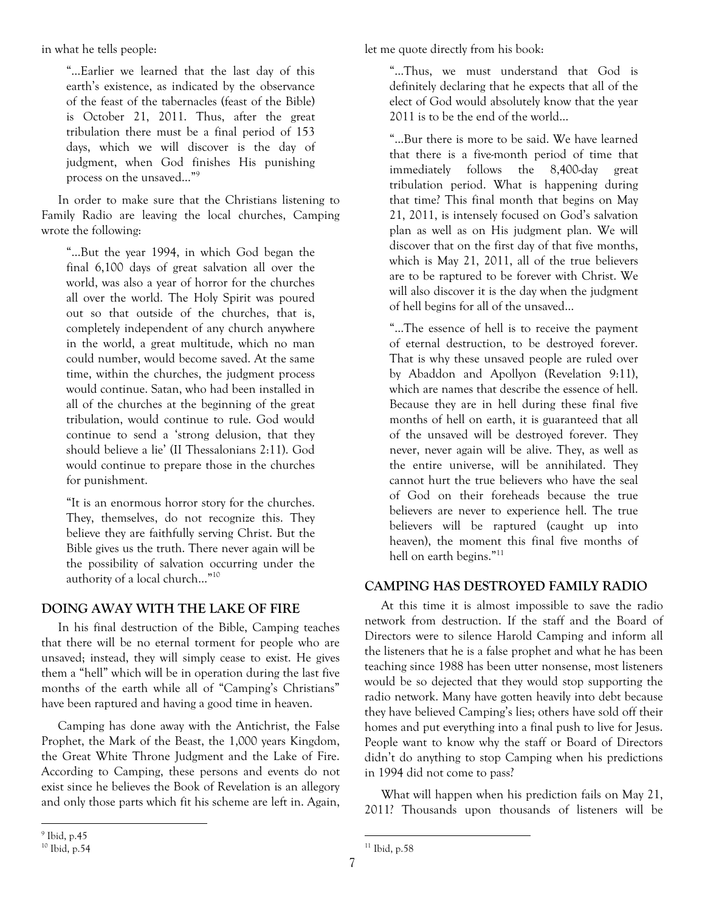in what he tells people:

"…Earlier we learned that the last day of this earth's existence, as indicated by the observance of the feast of the tabernacles (feast of the Bible) is October 21, 2011. Thus, after the great tribulation there must be a final period of 153 days, which we will discover is the day of judgment, when God finishes His punishing process on the unsaved…"9

In order to make sure that the Christians listening to Family Radio are leaving the local churches, Camping wrote the following:

"…But the year 1994, in which God began the final 6,100 days of great salvation all over the world, was also a year of horror for the churches all over the world. The Holy Spirit was poured out so that outside of the churches, that is, completely independent of any church anywhere in the world, a great multitude, which no man could number, would become saved. At the same time, within the churches, the judgment process would continue. Satan, who had been installed in all of the churches at the beginning of the great tribulation, would continue to rule. God would continue to send a 'strong delusion, that they should believe a lie' (II Thessalonians 2:11). God would continue to prepare those in the churches for punishment.

"It is an enormous horror story for the churches. They, themselves, do not recognize this. They believe they are faithfully serving Christ. But the Bible gives us the truth. There never again will be the possibility of salvation occurring under the authority of a local church…"10

## **DOING AWAY WITH THE LAKE OF FIRE**

In his final destruction of the Bible, Camping teaches that there will be no eternal torment for people who are unsaved; instead, they will simply cease to exist. He gives them a "hell" which will be in operation during the last five months of the earth while all of "Camping's Christians" have been raptured and having a good time in heaven.

Camping has done away with the Antichrist, the False Prophet, the Mark of the Beast, the 1,000 years Kingdom, the Great White Throne Judgment and the Lake of Fire. According to Camping, these persons and events do not exist since he believes the Book of Revelation is an allegory and only those parts which fit his scheme are left in. Again,

let me quote directly from his book:

"…Thus, we must understand that God is definitely declaring that he expects that all of the elect of God would absolutely know that the year 2011 is to be the end of the world…

"…Bur there is more to be said. We have learned that there is a five-month period of time that immediately follows the 8,400-day great tribulation period. What is happening during that time? This final month that begins on May 21, 2011, is intensely focused on God's salvation plan as well as on His judgment plan. We will discover that on the first day of that five months, which is May 21, 2011, all of the true believers are to be raptured to be forever with Christ. We will also discover it is the day when the judgment of hell begins for all of the unsaved…

"…The essence of hell is to receive the payment of eternal destruction, to be destroyed forever. That is why these unsaved people are ruled over by Abaddon and Apollyon (Revelation 9:11), which are names that describe the essence of hell. Because they are in hell during these final five months of hell on earth, it is guaranteed that all of the unsaved will be destroyed forever. They never, never again will be alive. They, as well as the entire universe, will be annihilated. They cannot hurt the true believers who have the seal of God on their foreheads because the true believers are never to experience hell. The true believers will be raptured (caught up into heaven), the moment this final five months of hell on earth begins."<sup>11</sup>

## **CAMPING HAS DESTROYED FAMILY RADIO**

At this time it is almost impossible to save the radio network from destruction. If the staff and the Board of Directors were to silence Harold Camping and inform all the listeners that he is a false prophet and what he has been teaching since 1988 has been utter nonsense, most listeners would be so dejected that they would stop supporting the radio network. Many have gotten heavily into debt because they have believed Camping's lies; others have sold off their homes and put everything into a final push to live for Jesus. People want to know why the staff or Board of Directors didn't do anything to stop Camping when his predictions in 1994 did not come to pass?

What will happen when his prediction fails on May 21, 2011? Thousands upon thousands of listeners will be

 $\overline{a}$ 

l

<sup>9</sup> Ibid, p.45

<sup>10</sup> Ibid, p.54

 $11$  Ibid, p.58